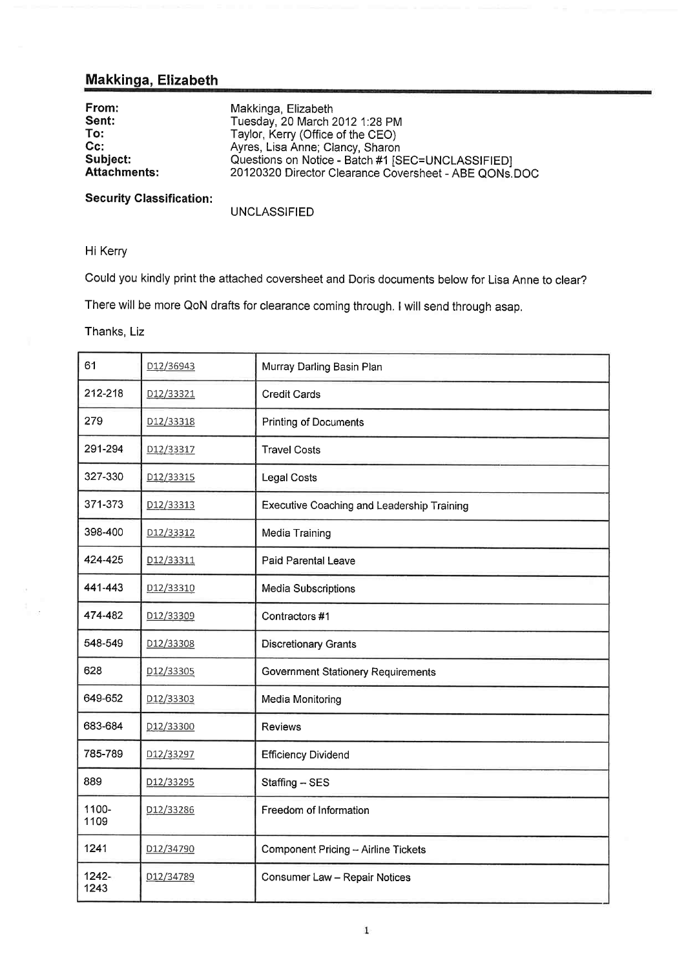# Makkinga, Elizabeth

| From:               | Makkinga, Elizabeth                                   |
|---------------------|-------------------------------------------------------|
|                     |                                                       |
| Sent:               | Tuesday, 20 March 2012 1:28 PM                        |
| To:                 | Taylor, Kerry (Office of the CEO)                     |
| $Cc$ :              | Ayres, Lisa Anne; Clancy, Sharon                      |
| Subject:            | Questions on Notice - Batch #1 [SEC=UNCLASSIFIED]     |
| <b>Attachments:</b> | 20120320 Director Clearance Coversheet - ABE QONs.DOC |
|                     |                                                       |

Security Classification:

UNCLASSIFIED

Hi Kerry

Could you kindly print the attached coversheet and Doris documents below for Lisa Anne to clear?

There will be more QoN drafts for clearance coming through. I will send through asap.

Thanks. Liz

| 61            | D12/36943              | Murray Darling Basin Plan                  |
|---------------|------------------------|--------------------------------------------|
| 212-218       | D <sub>12</sub> /33321 | <b>Credit Cards</b>                        |
| 279           | D12/33318              | <b>Printing of Documents</b>               |
| 291-294       | D12/33317              | <b>Travel Costs</b>                        |
| 327-330       | D12/33315              | <b>Legal Costs</b>                         |
| 371-373       | D12/33313              | Executive Coaching and Leadership Training |
| 398-400       | D12/33312              | Media Training                             |
| 424-425       | D12/33311              | Paid Parental Leave                        |
| 441-443       | D12/33310              | Media Subscriptions                        |
| 474-482       | D12/33309              | Contractors #1                             |
| 548-549       | D12/33308              | <b>Discretionary Grants</b>                |
| 628           | D <sub>12</sub> /33305 | <b>Government Stationery Requirements</b>  |
| 649-652       | D12/33303              | Media Monitoring                           |
| 683-684       | D12/33300              | Reviews                                    |
| 785-789       | D12/33297              | <b>Efficiency Dividend</b>                 |
| 889           | D <sub>12</sub> /33295 | Staffing - SES                             |
| 1100-<br>1109 | D12/33286              | Freedom of Information                     |
| 1241          | D12/34790              | Component Pricing - Airline Tickets        |
| 1242-<br>1243 | D12/34789              | Consumer Law - Repair Notices              |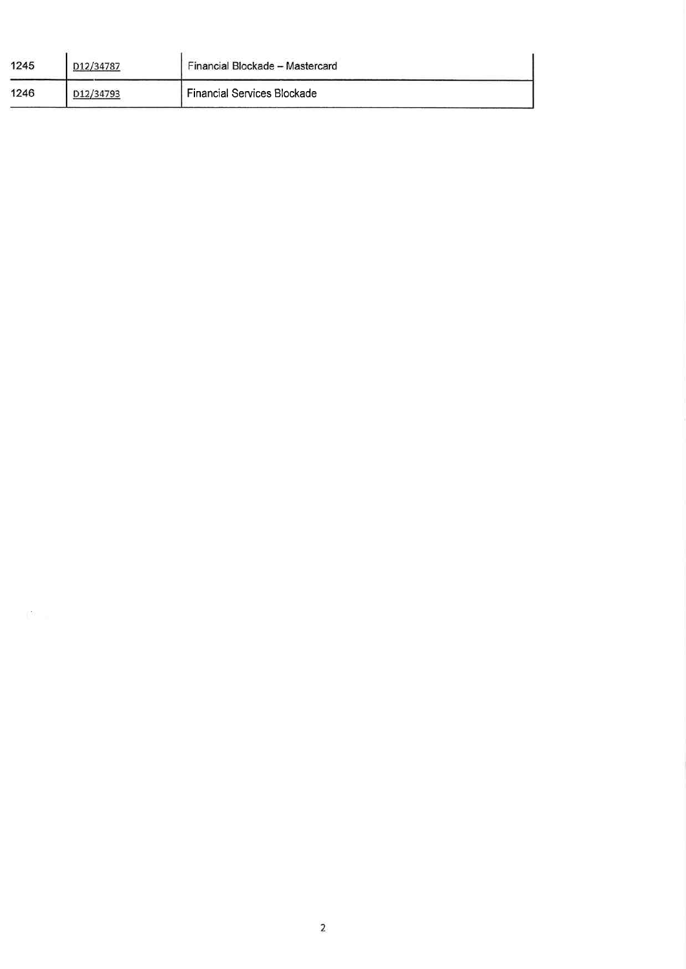| 1245 | D <sub>12</sub> /34787 | Financial Blockade - Mastercard    |
|------|------------------------|------------------------------------|
| 1246 | D12/34793              | <b>Financial Services Blockade</b> |

 $\mathbb{S}^2$  .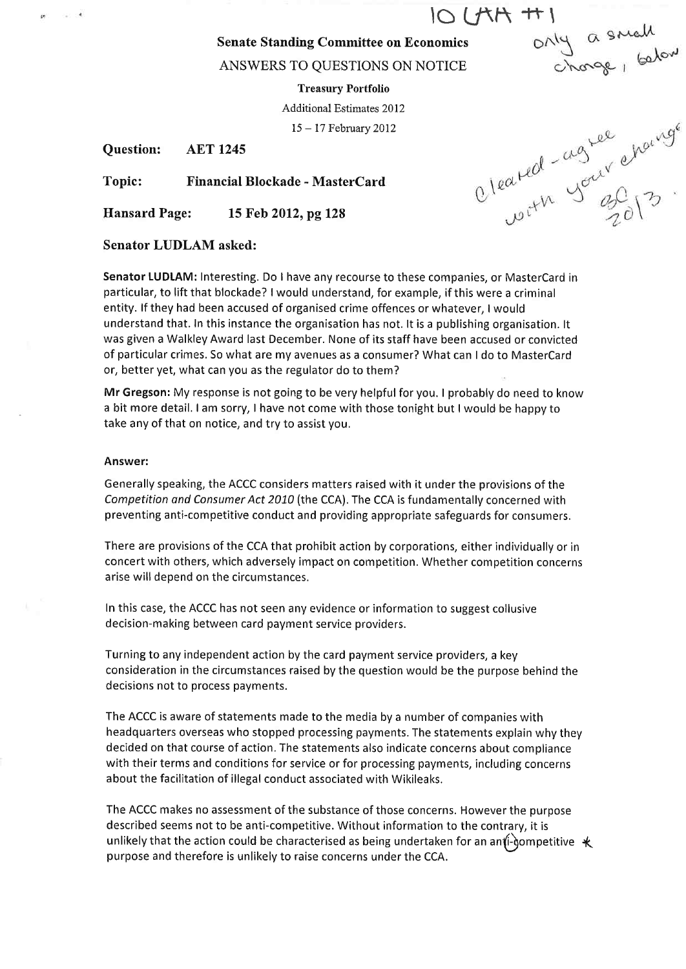$\frac{10 \text{ LFA} + 1}{\frac{6 \text{ N}}{20 \text{ N}} \text{ m} \cdot \frac{6 \text{ N}}{20 \text{ N}}}}$ 

ANSWERS TO QUESTIONS ON NOTICE

Treasury Portfolio

Additional Estimates 2012

<sup>15</sup>- 17 February 2012

Question: AET <sup>1245</sup>

Topic: Financial Blockade - MasterCard

Ilansard Page: 15 Feb 2012, pg 128

### Senator LUDLAM asked:

Senator LUDLAM: Interestíng. Do I have any recourse to these companies, or MasterCard in particular, to lift that blockade? lwould understand, for example, if this were a criminal entity. lf they had been accused of organised crime offences or whatever, I would understand that. In this instance the organisation has not. It is a publishing organisation. It was given a Walkley Award last December. None of its staff have been accused or convicted of particular crimes. So what are my avenues as a consumer? What can I do to MasterCard or, better yet, what can you as the regulator do to them?

Mr Gregson: My response is not going to be very helpful for you. I probably do need to know a bit more detail. I am sorry, I have not come with those tonight but I would be happy to take any of that on notice, and try to assist you.

#### Answer:

Generally speaking, the ACCC considers matters raised with it under the provisions of the Competition and Consumer Act 2010 (the CCA). The CCA is fundamentally concerned with preventing anti-competitive conduct and providing appropriate safeguards for consumers.

There are provisions of the CCA that prohibit action by corporations, either individually or in concert with others, which adversely impact on competition. Whether competition concerns arise will depend on the circumstances.

In this case, the ACCC has not seen any evidence or information to suggest collusive decision-making between card payment service providers.

Turning to any independent action by the card payment service providers, a key consideration in the circumstances raised by the question would be the purpose behind the decisions not to process payments.

The ACCC is aware of statements made to the media by a number of companies with headquarters overseas who stopped processing payments. The statements explain why they decided on that course of action. The statements also indicate concerns about compliance with their terms and conditions for service or for processing payments, including concerns about the facilitation of illegal conduct associated with Wikileaks.

The ACCC makes no assessment of the substance of those concerns. However the purpose described seems not to be anti-competitive. Without information to the contrary, it is unlikely that the action could be characterised as being undertaken for an anti-gompetitive  $\ast$ purpose and therefore is unlikely to raise concerns under the CCA.

Cleated-agree showing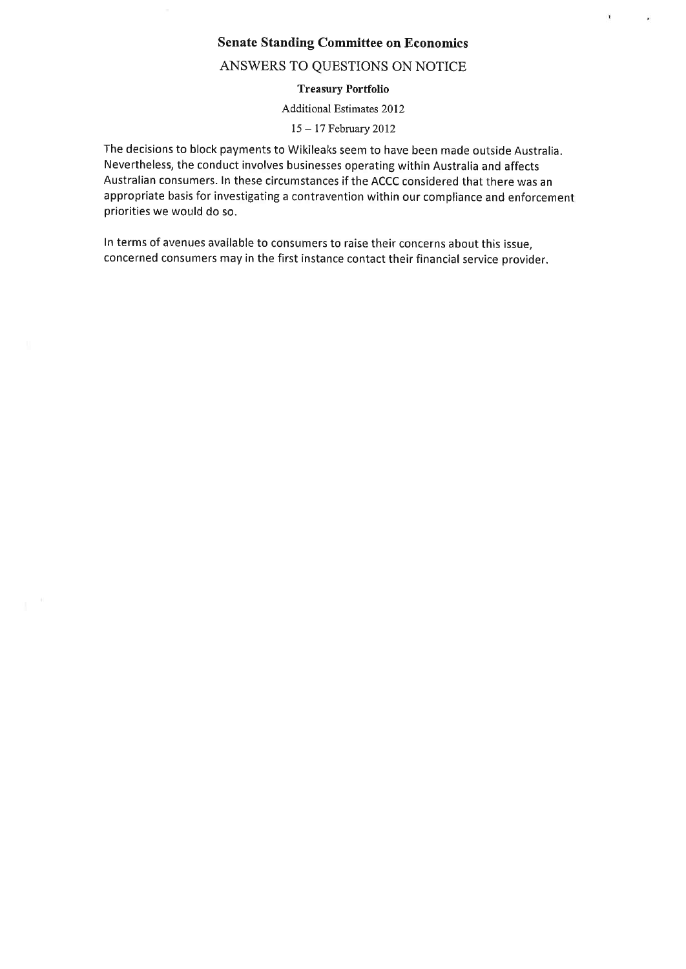ï

 $\hat{\bullet}$ 

#### ANSWERS TO QUESTIONS ON NOTICE

#### Treasury Portfolio

Additional Estimates 2012

<sup>15</sup>- l7 February 2012

The decisions to block payments to Wikileaks seem to have been made outside Australia. Nevertheless, the conduct involves businesses operating within Australia and affects Australian consumers. In these circumstances if the ACCC considered that there was an appropriate basis for investigating a contravention within our compliance and enforcement priorities we would do so.

In terms of avenues available to consumers to raise their concerns about this issue, concerned consumers may in the first instance contact their financial service provider.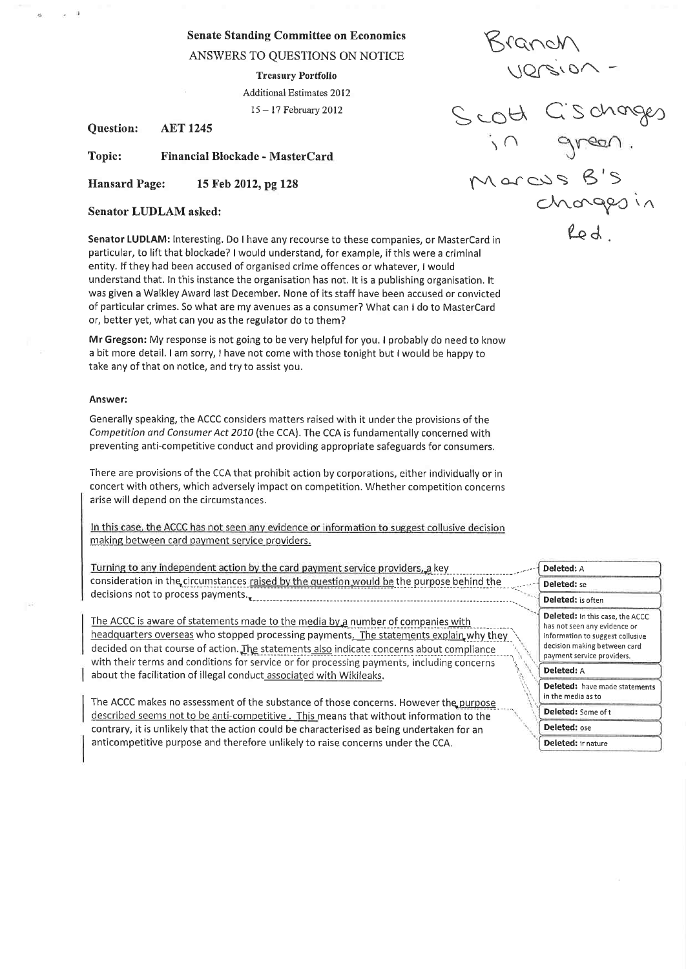ANSWERS TO QUESTIONS ON NOTICE

**Treasury Portfolio** Additional Estimates 2012  $15 - 17$  February 2012

**AET 1245 Question:** 

Topic: Financial Blockade - MasterCard

**Hansard Page:** 15 Feb 2012, pg 128

Senator LIDLAM asked:

Senator LUDLAM: Interesting. Do I have any recourse to these companies, or MasterCard in particular, to lift that blockade? I would understand, for example, if this were a criminal entity. If they had been accused of organised crime offences or whatever, I would understand that. In this instance the organisation has not. It is a publishing organisation. It was given a Walkley Award last December. None of its staff have been accused or convicted of particular crimes. So what are my avenues as a consumer? What can I do to MasterCard or, better yet, what can you as the regulator do to them?

Mr Gregson: My response is not going to be very helpful for you. I probably do need to know a bit more detail. I am sorry, I have not come with those tonight but I would be happy to take any of that on notice, and try to assist you.

#### Answer:

Generally speaking, the ACCC considers matters raised with it under the provisions of the Competition and Consumer Act 2010 (the CCA). The CCA is fundamentally concerned with preventing anti-competitive conduct and providing appropriate safeguards for consumers.

There are provisions of the CCA that prohibit action by corporations, either individually or in concert with others, which adversely impact on competition. Whether competition concerns arise will depend on the circumstances.

In this case, the ACCC has not seen any evidence or information to suggest collusive decision making between card payment service providers.

Turning to any independent action by the card payment service providers, a key consideration in the circumstances raised by the question would be the purpose behind the decisions not to process payments.

The ACCC is aware of statements made to the media by a number of companies with headquarters overseas who stopped processing payments. The statements explain why they decided on that course of action. The statements also indicate concerns about compliance with their terms and conditions for service or for processing payments, including concerns about the facilitation of illegal conduct associated with Wikileaks.

The ACCC makes no assessment of the substance of those concerns. However the purpose described seems not to be anti-competitive. This means that without information to the contrary, it is unlikely that the action could be characterised as being undertaken for an anticompetitive purpose and therefore unlikely to raise concerns under the CCA.

Ridugh

Versiu<br>Scott Cischarges<br>in green.<br>Marcus B's<br>Chargesin<br>Red.

| Deleted: A                                                                                                                          |
|-------------------------------------------------------------------------------------------------------------------------------------|
| Deleted: se                                                                                                                         |
| Deleted: is often                                                                                                                   |
| Deleted: In this case, the ACCC<br>has not seen any evidence or<br>information to suggest collusive<br>decision making between card |
| payment service providers.                                                                                                          |
| <b>Deleted:</b> A                                                                                                                   |
| Deleted: have made statements<br>in the media as to                                                                                 |
| Deleted: Some of t                                                                                                                  |
| Deleted: ose                                                                                                                        |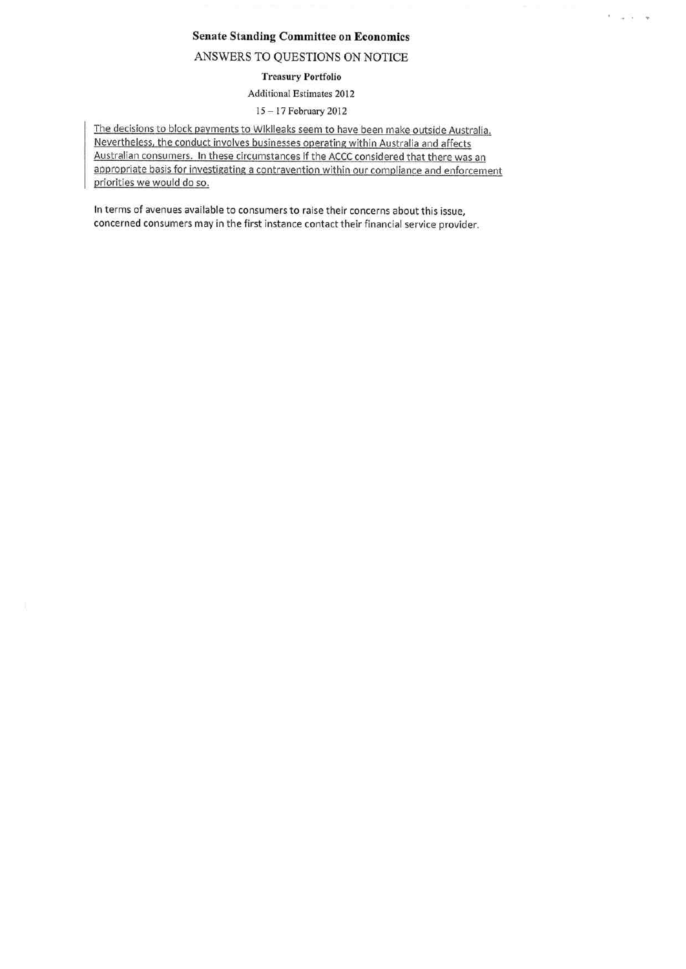$1 - 2 - 3 = 74$ 

#### ANSWERS TO QUESTIONS ON NOTICE

#### **Treasury Portfolio**

### Additional Estimates 2012

#### 15-17 February 2012

The decisions to block payments to Wikileaks seem to have been make outside Australia. Nevertheless, the conduct involves businesses operating within Australia and affects Australian consumers. In these circumstances if the ACCC considered that there was an appropriate basis for investigating a contravention within our compliance and enforcement priorities we would do so.

In terms of avenues available to consumers to raise their concerns about this issue, concerned consumers may in the first instance contact their financial service provider.